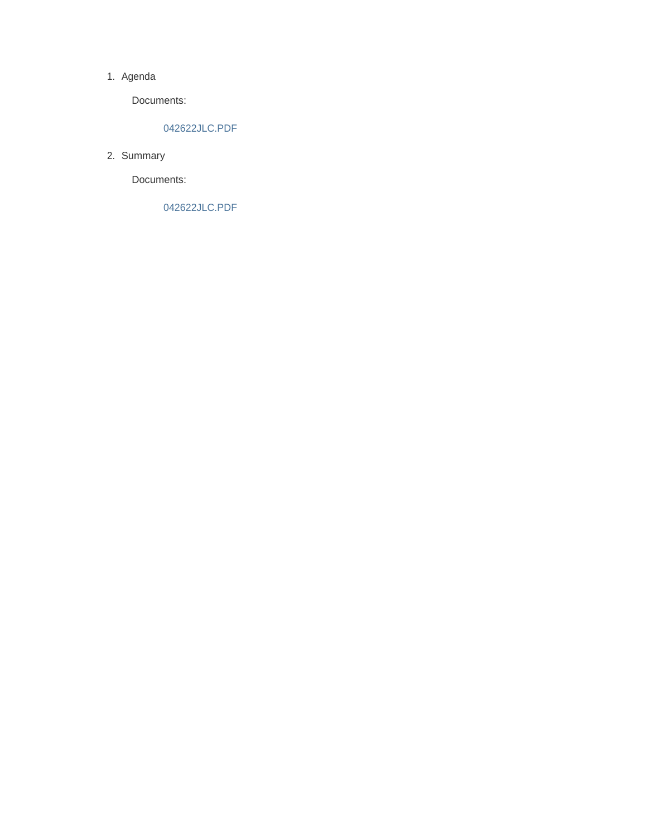#### 1. Agenda

Documents:

#### 042622JLC.PDF

2. Summary

Documents:

042622JLC.PDF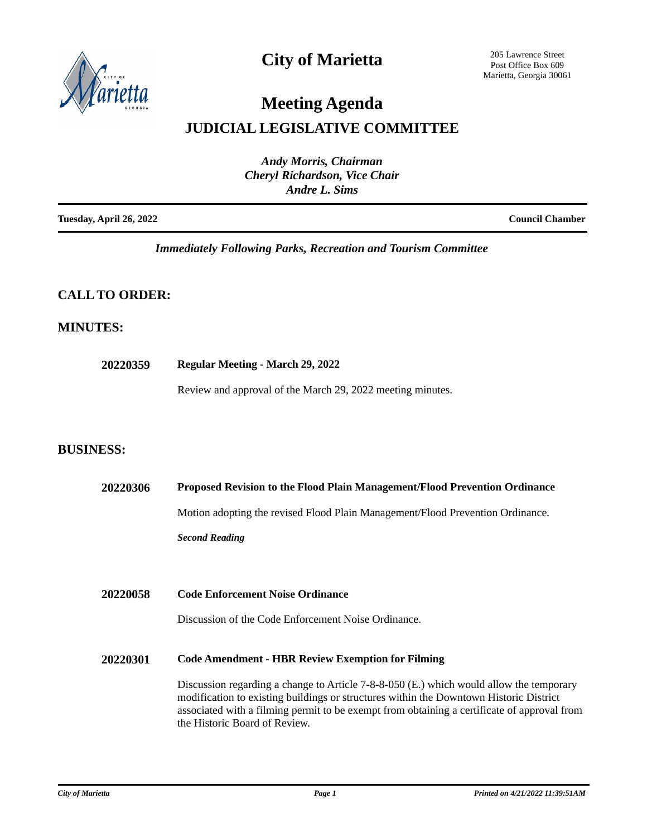

### **City of Marietta**

205 Lawrence Street Post Office Box 609 Marietta, Georgia 30061

## **Meeting Agenda**

### **JUDICIAL LEGISLATIVE COMMITTEE**

| <b>Andy Morris, Chairman</b>                          |                        |
|-------------------------------------------------------|------------------------|
| <b>Cheryl Richardson, Vice Chair</b><br>Andre L. Sims |                        |
| <b>Tuesday, April 26, 2022</b>                        | <b>Council Chamber</b> |

*Immediately Following Parks, Recreation and Tourism Committee*

### **CALL TO ORDER:**

#### **MINUTES:**

**20220359 Regular Meeting - March 29, 2022**

Review and approval of the March 29, 2022 meeting minutes.

### **BUSINESS:**

| <b>20220306</b> | <b>Proposed Revision to the Flood Plain Management/Flood Prevention Ordinance</b>                                                                                                                                                                                                                                 |
|-----------------|-------------------------------------------------------------------------------------------------------------------------------------------------------------------------------------------------------------------------------------------------------------------------------------------------------------------|
|                 | Motion adopting the revised Flood Plain Management/Flood Prevention Ordinance.                                                                                                                                                                                                                                    |
|                 | <b>Second Reading</b>                                                                                                                                                                                                                                                                                             |
|                 |                                                                                                                                                                                                                                                                                                                   |
| 20220058        | <b>Code Enforcement Noise Ordinance</b>                                                                                                                                                                                                                                                                           |
|                 | Discussion of the Code Enforcement Noise Ordinance.                                                                                                                                                                                                                                                               |
| <b>20220301</b> | <b>Code Amendment - HBR Review Exemption for Filming</b>                                                                                                                                                                                                                                                          |
|                 | Discussion regarding a change to Article 7-8-8-050 (E.) which would allow the temporary<br>modification to existing buildings or structures within the Downtown Historic District<br>associated with a filming permit to be exempt from obtaining a certificate of approval from<br>the Historic Board of Review. |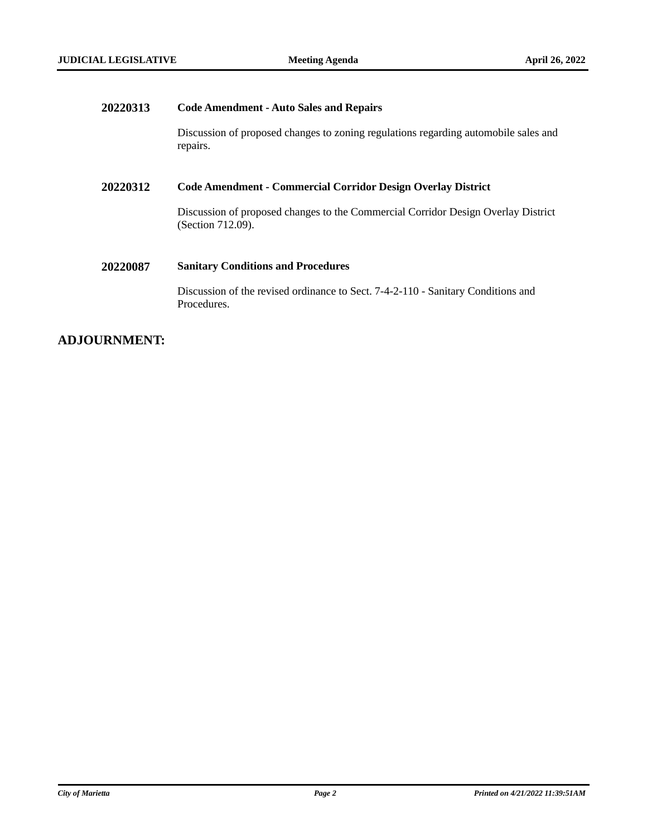**COMMITTEE** 

# **20220313 Code Amendment - Auto Sales and Repairs** Discussion of proposed changes to zoning regulations regarding automobile sales and repairs. **20220312 Code Amendment - Commercial Corridor Design Overlay District** Discussion of proposed changes to the Commercial Corridor Design Overlay District (Section 712.09). **20220087 Sanitary Conditions and Procedures** Discussion of the revised ordinance to Sect. 7-4-2-110 - Sanitary Conditions and Procedures.

#### **ADJOURNMENT:**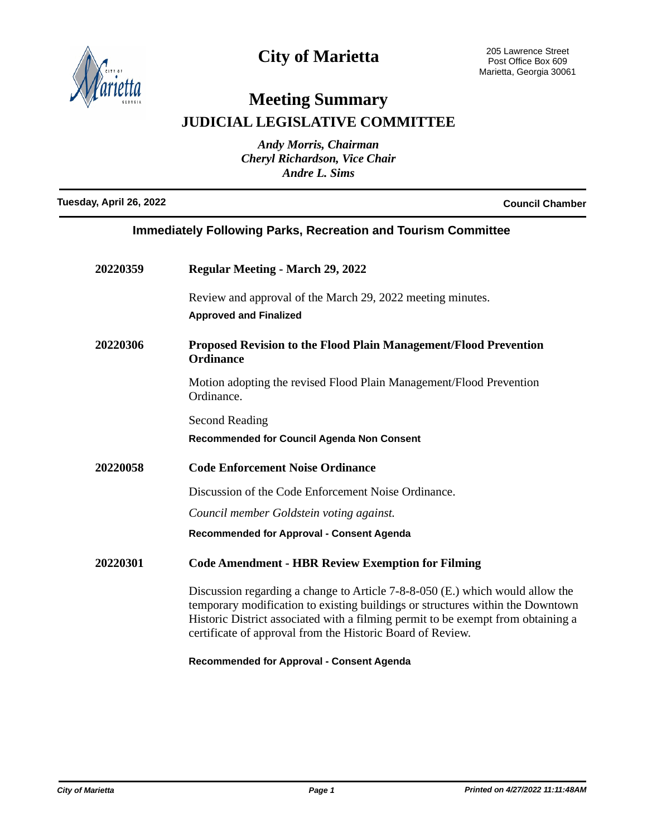

## **City of Marietta**

# **Meeting Summary JUDICIAL LEGISLATIVE COMMITTEE**

*Andy Morris, Chairman Cheryl Richardson, Vice Chair Andre L. Sims*

**Tuesday, April 26, 2022 Council Chamber**

| <b>Immediately Following Parks, Recreation and Tourism Committee</b> |                                                                                                                                                                                                                                                                                                                   |
|----------------------------------------------------------------------|-------------------------------------------------------------------------------------------------------------------------------------------------------------------------------------------------------------------------------------------------------------------------------------------------------------------|
| 20220359                                                             | <b>Regular Meeting - March 29, 2022</b>                                                                                                                                                                                                                                                                           |
|                                                                      | Review and approval of the March 29, 2022 meeting minutes.<br><b>Approved and Finalized</b>                                                                                                                                                                                                                       |
| 20220306                                                             | <b>Proposed Revision to the Flood Plain Management/Flood Prevention</b><br><b>Ordinance</b>                                                                                                                                                                                                                       |
|                                                                      | Motion adopting the revised Flood Plain Management/Flood Prevention<br>Ordinance.                                                                                                                                                                                                                                 |
|                                                                      | <b>Second Reading</b>                                                                                                                                                                                                                                                                                             |
|                                                                      | <b>Recommended for Council Agenda Non Consent</b>                                                                                                                                                                                                                                                                 |
| 20220058                                                             | <b>Code Enforcement Noise Ordinance</b>                                                                                                                                                                                                                                                                           |
|                                                                      | Discussion of the Code Enforcement Noise Ordinance.                                                                                                                                                                                                                                                               |
|                                                                      | Council member Goldstein voting against.                                                                                                                                                                                                                                                                          |
|                                                                      | <b>Recommended for Approval - Consent Agenda</b>                                                                                                                                                                                                                                                                  |
| 20220301                                                             | <b>Code Amendment - HBR Review Exemption for Filming</b>                                                                                                                                                                                                                                                          |
|                                                                      | Discussion regarding a change to Article 7-8-8-050 (E.) which would allow the<br>temporary modification to existing buildings or structures within the Downtown<br>Historic District associated with a filming permit to be exempt from obtaining a<br>certificate of approval from the Historic Board of Review. |

**Recommended for Approval - Consent Agenda**